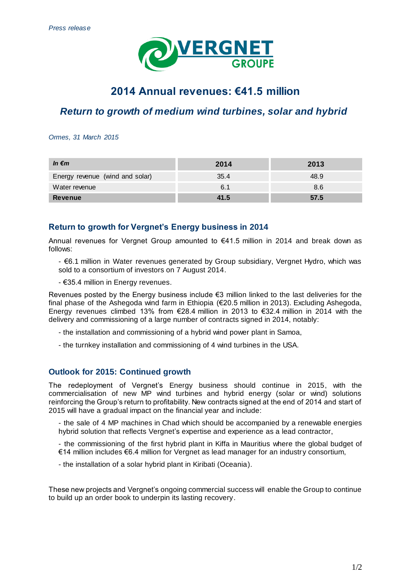

# **2014 Annual revenues: €41.5 million**

## *Return to growth of medium wind turbines, solar and hybrid*

*Ormes, 31 March 2015*

| In $\epsilon$ m                 | 2014 | 2013 |
|---------------------------------|------|------|
| Energy revenue (wind and solar) | 35.4 | 48.9 |
| Water revenue                   | 6.1  | 8.6  |
| <b>Revenue</b>                  | 41.5 | 57.5 |

### **Return to growth for Vergnet's Energy business in 2014**

Annual revenues for Vergnet Group amounted to €41.5 million in 2014 and break down as follows:

- €6.1 million in Water revenues generated by Group subsidiary, Vergnet Hydro, which was sold to a consortium of investors on 7 August 2014.

- €35.4 million in Energy revenues.

Revenues posted by the Energy business include €3 million linked to the last deliveries for the final phase of the Ashegoda wind farm in Ethiopia (€20.5 million in 2013). Excluding Ashegoda, Energy revenues climbed 13% from  $\epsilon$ 28.4 million in 2013 to  $\epsilon$ 32.4 million in 2014 with the delivery and commissioning of a large number of contracts signed in 2014, notably:

- the installation and commissioning of a hybrid wind power plant in Samoa,
- the turnkey installation and commissioning of 4 wind turbines in the USA.

### **Outlook for 2015: Continued growth**

The redeployment of Vergnet's Energy business should continue in 2015, with the commercialisation of new MP wind turbines and hybrid energy (solar or wind) solutions reinforcing the Group's return to profitability. New contracts signed at the end of 2014 and start of 2015 will have a gradual impact on the financial year and include:

- the sale of 4 MP machines in Chad which should be accompanied by a renewable energies hybrid solution that reflects Vergnet's expertise and experience as a lead contractor,

- the commissioning of the first hybrid plant in Kiffa in Mauritius where the global budget of €14 million includes €6.4 million for Vergnet as lead manager for an industry consortium,

- the installation of a solar hybrid plant in Kiribati (Oceania).

These new projects and Vergnet's ongoing commercial success will enable the Group to continue to build up an order book to underpin its lasting recovery.